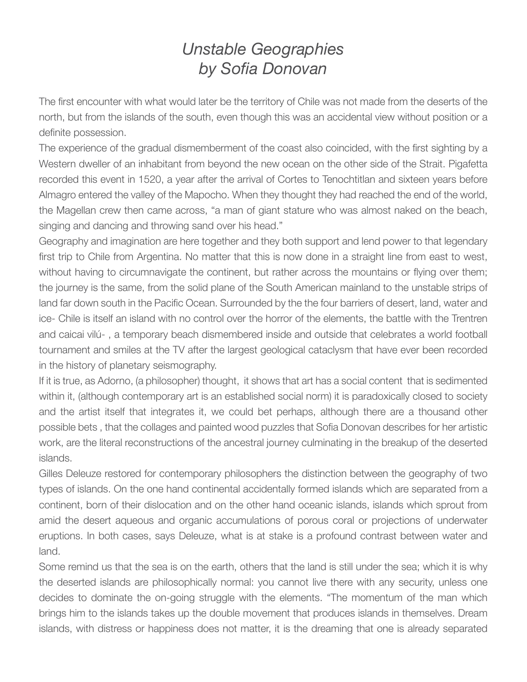## *Unstable Geographies by Sofia Donovan*

The first encounter with what would later be the territory of Chile was not made from the deserts of the north, but from the islands of the south, even though this was an accidental view without position or a definite possession.

The experience of the gradual dismemberment of the coast also coincided, with the first sighting by a Western dweller of an inhabitant from beyond the new ocean on the other side of the Strait. Pigafetta recorded this event in 1520, a year after the arrival of Cortes to Tenochtitlan and sixteen years before Almagro entered the valley of the Mapocho. When they thought they had reached the end of the world, the Magellan crew then came across, "a man of giant stature who was almost naked on the beach, singing and dancing and throwing sand over his head."

Geography and imagination are here together and they both support and lend power to that legendary first trip to Chile from Argentina. No matter that this is now done in a straight line from east to west, without having to circumnavigate the continent, but rather across the mountains or flying over them; the journey is the same, from the solid plane of the South American mainland to the unstable strips of land far down south in the Pacific Ocean. Surrounded by the the four barriers of desert, land, water and ice- Chile is itself an island with no control over the horror of the elements, the battle with the Trentren and caicai vilú- , a temporary beach dismembered inside and outside that celebrates a world football tournament and smiles at the TV after the largest geological cataclysm that have ever been recorded in the history of planetary seismography.

If it is true, as Adorno, (a philosopher) thought, it shows that art has a social content that is sedimented within it, (although contemporary art is an established social norm) it is paradoxically closed to society and the artist itself that integrates it, we could bet perhaps, although there are a thousand other possible bets , that the collages and painted wood puzzles that Sofia Donovan describes for her artistic work, are the literal reconstructions of the ancestral journey culminating in the breakup of the deserted islands.

Gilles Deleuze restored for contemporary philosophers the distinction between the geography of two types of islands. On the one hand continental accidentally formed islands which are separated from a continent, born of their dislocation and on the other hand oceanic islands, islands which sprout from amid the desert aqueous and organic accumulations of porous coral or projections of underwater eruptions. In both cases, says Deleuze, what is at stake is a profound contrast between water and land.

Some remind us that the sea is on the earth, others that the land is still under the sea; which it is why the deserted islands are philosophically normal: you cannot live there with any security, unless one decides to dominate the on-going struggle with the elements. "The momentum of the man which brings him to the islands takes up the double movement that produces islands in themselves. Dream islands, with distress or happiness does not matter, it is the dreaming that one is already separated